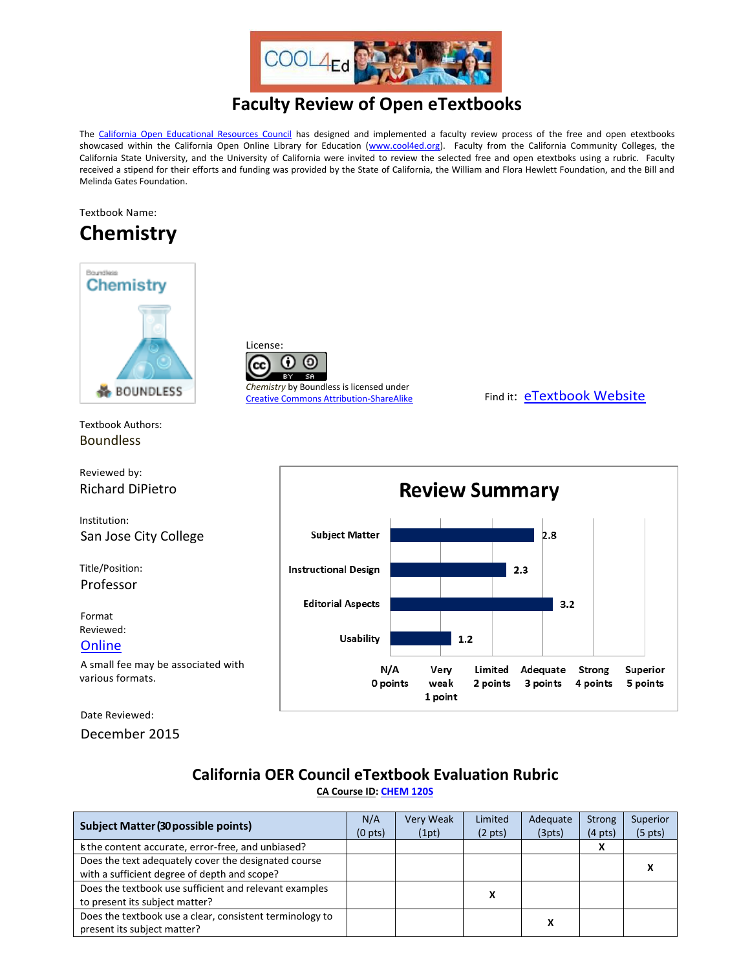

### **Faculty Review of Open eTextbooks**

The [California Open Educational Resources Council](http://icas-ca.org/coerc) has designed and implemented a faculty review process of the free and open etextbooks showcased within the California Open Online Library for Education [\(www.cool4ed.org\)](http://www.cool4ed.org/). Faculty from the California Community Colleges, the California State University, and the University of California were invited to review the selected free and open etextboks using a rubric. Faculty received a stipend for their efforts and funding was provided by the State of California, the William and Flora Hewlett Foundation, and the Bill and Melinda Gates Foundation.

### Textbook Name:

## **Chemistry**



Textbook Authors: Boundless

Reviewed by: Richard DiPietro

Institution: San Jose City College

Title/Position: Professor

Format Reviewed: **[Online](https://www.boundless.com/chemistry/)** A small fee may be associated with various formats.

Date Reviewed:

December 2015



*Chemistry* by Boundless is licensed under [Creative Commons Attribution-ShareAlike](http://creativecommons.org/licenses/by-sa/3.0/us/?_popup=true&_resize=true) Find it: [eTextbook Website](https://www.boundless.com/chemistry/)



# **California OER Council eTextbook Evaluation Rubric**

**[CA Course ID:](https://c-id.net/about.html) [CHEM 120S](https://c-id.net/descriptor_details.html?descriptor=298)**

| Subject Matter (30 possible points)                      | N/A<br>(0 <sub>pts</sub> ) | <b>Very Weak</b><br>(1pt) | Limited<br>$(2 \text{ pts})$ | Adequate<br>(3pts) | Strong<br>$(4 \text{ pts})$ | Superior<br>$(5 \text{ pts})$ |
|----------------------------------------------------------|----------------------------|---------------------------|------------------------------|--------------------|-----------------------------|-------------------------------|
| s the content accurate, error-free, and unbiased?        |                            |                           |                              |                    | x                           |                               |
| Does the text adequately cover the designated course     |                            |                           |                              |                    |                             |                               |
| with a sufficient degree of depth and scope?             |                            |                           |                              |                    |                             | л                             |
| Does the textbook use sufficient and relevant examples   |                            | x                         |                              |                    |                             |                               |
| to present its subject matter?                           |                            |                           |                              |                    |                             |                               |
| Does the textbook use a clear, consistent terminology to |                            |                           |                              |                    |                             |                               |
| present its subject matter?                              |                            |                           |                              |                    |                             |                               |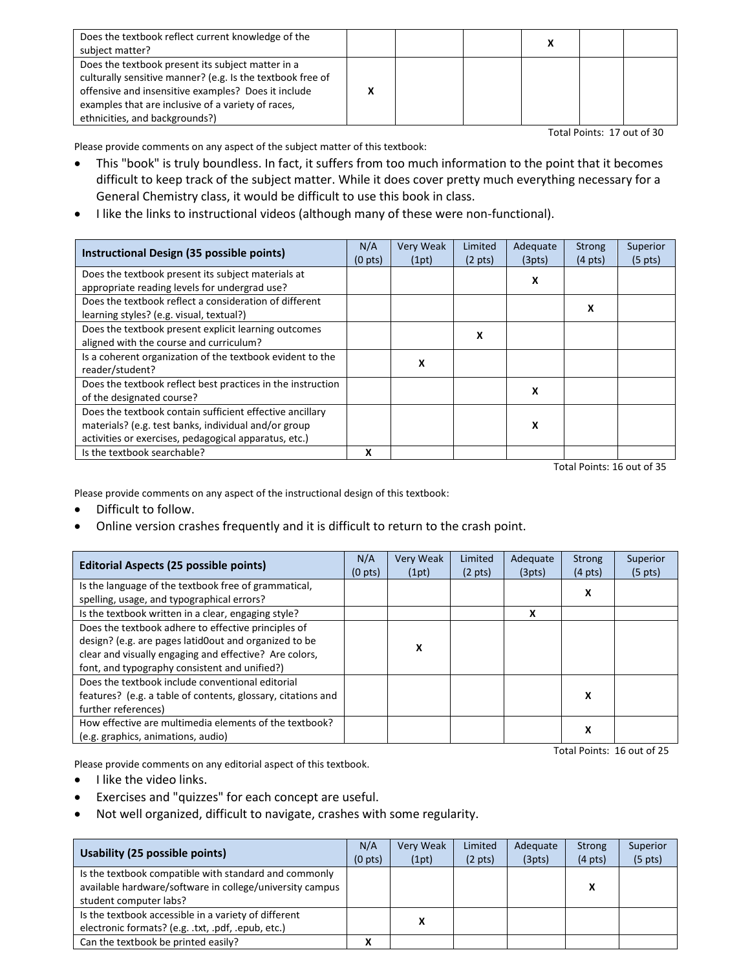| Does the textbook reflect current knowledge of the<br>subject matter?                                                                                                                                                                                          |  |  |  |
|----------------------------------------------------------------------------------------------------------------------------------------------------------------------------------------------------------------------------------------------------------------|--|--|--|
| Does the textbook present its subject matter in a<br>culturally sensitive manner? (e.g. Is the textbook free of<br>offensive and insensitive examples? Does it include<br>examples that are inclusive of a variety of races,<br>ethnicities, and backgrounds?) |  |  |  |

Total Points: 17 out of 30

Please provide comments on any aspect of the subject matter of this textbook:

- This "book" is truly boundless. In fact, it suffers from too much information to the point that it becomes difficult to keep track of the subject matter. While it does cover pretty much everything necessary for a General Chemistry class, it would be difficult to use this book in class.
- I like the links to instructional videos (although many of these were non-functional).

| Instructional Design (35 possible points)                   | N/A<br>$(0 \text{ pts})$ | Very Weak<br>(1pt) | Limited<br>$(2 \text{ pts})$ | Adequate<br>(3pts) | <b>Strong</b><br>$(4 \text{ pts})$ | Superior<br>$(5 \text{ pts})$ |
|-------------------------------------------------------------|--------------------------|--------------------|------------------------------|--------------------|------------------------------------|-------------------------------|
| Does the textbook present its subject materials at          |                          |                    |                              | х                  |                                    |                               |
| appropriate reading levels for undergrad use?               |                          |                    |                              |                    |                                    |                               |
| Does the textbook reflect a consideration of different      |                          |                    |                              |                    | x                                  |                               |
| learning styles? (e.g. visual, textual?)                    |                          |                    |                              |                    |                                    |                               |
| Does the textbook present explicit learning outcomes        |                          |                    | x                            |                    |                                    |                               |
| aligned with the course and curriculum?                     |                          |                    |                              |                    |                                    |                               |
| Is a coherent organization of the textbook evident to the   |                          | x                  |                              |                    |                                    |                               |
| reader/student?                                             |                          |                    |                              |                    |                                    |                               |
| Does the textbook reflect best practices in the instruction |                          |                    |                              | X                  |                                    |                               |
| of the designated course?                                   |                          |                    |                              |                    |                                    |                               |
| Does the textbook contain sufficient effective ancillary    |                          |                    |                              |                    |                                    |                               |
| materials? (e.g. test banks, individual and/or group        |                          |                    |                              | x                  |                                    |                               |
| activities or exercises, pedagogical apparatus, etc.)       |                          |                    |                              |                    |                                    |                               |
| Is the textbook searchable?                                 | X                        |                    |                              |                    |                                    |                               |

Total Points: 16 out of 35

Please provide comments on any aspect of the instructional design of this textbook:

- Difficult to follow.
- Online version crashes frequently and it is difficult to return to the crash point.

| <b>Editorial Aspects (25 possible points)</b>                                                      | N/A<br>(0 <sub>pts</sub> ) | <b>Very Weak</b><br>(1pt) | Limited<br>$(2 \text{ pts})$ | Adequate<br>(3pts) | <b>Strong</b><br>$(4 \text{ pts})$ | Superior<br>$(5 \text{ pts})$ |
|----------------------------------------------------------------------------------------------------|----------------------------|---------------------------|------------------------------|--------------------|------------------------------------|-------------------------------|
| Is the language of the textbook free of grammatical,<br>spelling, usage, and typographical errors? |                            |                           |                              |                    | x                                  |                               |
| Is the textbook written in a clear, engaging style?                                                |                            |                           |                              | x                  |                                    |                               |
| Does the textbook adhere to effective principles of                                                |                            |                           |                              |                    |                                    |                               |
| design? (e.g. are pages latid0out and organized to be                                              |                            | x                         |                              |                    |                                    |                               |
| clear and visually engaging and effective? Are colors,                                             |                            |                           |                              |                    |                                    |                               |
| font, and typography consistent and unified?)                                                      |                            |                           |                              |                    |                                    |                               |
| Does the textbook include conventional editorial                                                   |                            |                           |                              |                    |                                    |                               |
| features? (e.g. a table of contents, glossary, citations and                                       |                            |                           |                              |                    | х                                  |                               |
| further references)                                                                                |                            |                           |                              |                    |                                    |                               |
| How effective are multimedia elements of the textbook?                                             |                            |                           |                              |                    | X                                  |                               |
| (e.g. graphics, animations, audio)                                                                 |                            |                           |                              |                    |                                    |                               |

Please provide comments on any editorial aspect of this textbook.

- I like the video links.
- Exercises and "quizzes" for each concept are useful.
- Not well organized, difficult to navigate, crashes with some regularity.

| Usability (25 possible points)                                                                                                              | N/A<br>(0 <sub>pts</sub> ) | <b>Very Weak</b><br>(1pt) | Limited<br>$(2 \text{ pts})$ | Adequate<br>(3pts) | Strong<br>$(4 \text{ pts})$ | Superior<br>$(5 \text{ pts})$ |
|---------------------------------------------------------------------------------------------------------------------------------------------|----------------------------|---------------------------|------------------------------|--------------------|-----------------------------|-------------------------------|
| Is the textbook compatible with standard and commonly<br>available hardware/software in college/university campus<br>student computer labs? |                            |                           |                              |                    | x                           |                               |
| Is the textbook accessible in a variety of different<br>electronic formats? (e.g. .txt, .pdf, .epub, etc.)                                  |                            | x                         |                              |                    |                             |                               |
| Can the textbook be printed easily?                                                                                                         |                            |                           |                              |                    |                             |                               |

Total Points: 16 out of 25